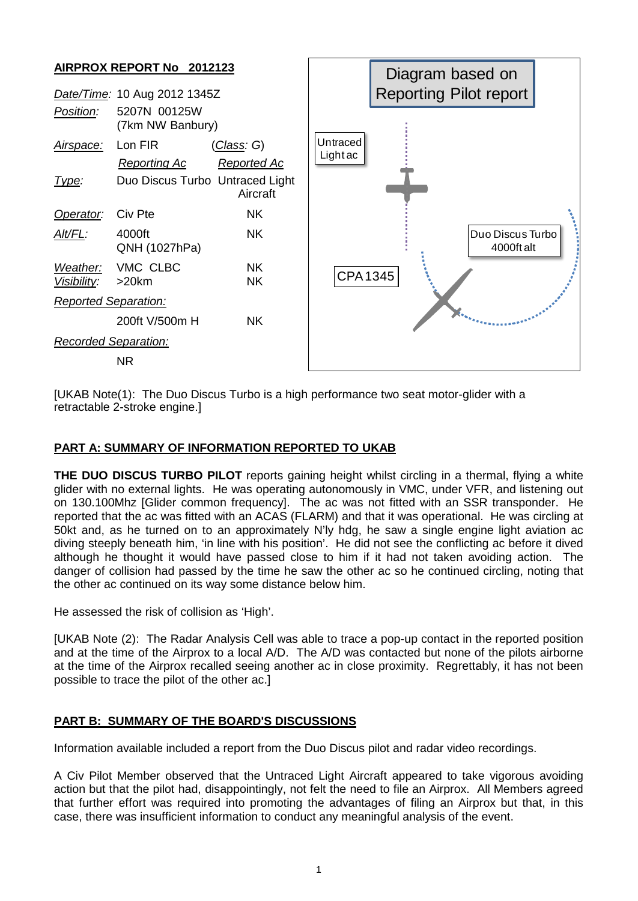

[UKAB Note(1): The Duo Discus Turbo is a high performance two seat motor-glider with a retractable 2-stroke engine.]

## **PART A: SUMMARY OF INFORMATION REPORTED TO UKAB**

**THE DUO DISCUS TURBO PILOT** reports gaining height whilst circling in a thermal, flying a white glider with no external lights. He was operating autonomously in VMC, under VFR, and listening out on 130.100Mhz [Glider common frequency]. The ac was not fitted with an SSR transponder. He reported that the ac was fitted with an ACAS (FLARM) and that it was operational. He was circling at 50kt and, as he turned on to an approximately N'ly hdg, he saw a single engine light aviation ac diving steeply beneath him, 'in line with his position'. He did not see the conflicting ac before it dived although he thought it would have passed close to him if it had not taken avoiding action. The danger of collision had passed by the time he saw the other ac so he continued circling, noting that the other ac continued on its way some distance below him.

He assessed the risk of collision as 'High'.

[UKAB Note (2): The Radar Analysis Cell was able to trace a pop-up contact in the reported position and at the time of the Airprox to a local A/D. The A/D was contacted but none of the pilots airborne at the time of the Airprox recalled seeing another ac in close proximity. Regrettably, it has not been possible to trace the pilot of the other ac.]

## **PART B: SUMMARY OF THE BOARD'S DISCUSSIONS**

Information available included a report from the Duo Discus pilot and radar video recordings.

A Civ Pilot Member observed that the Untraced Light Aircraft appeared to take vigorous avoiding action but that the pilot had, disappointingly, not felt the need to file an Airprox. All Members agreed that further effort was required into promoting the advantages of filing an Airprox but that, in this case, there was insufficient information to conduct any meaningful analysis of the event.